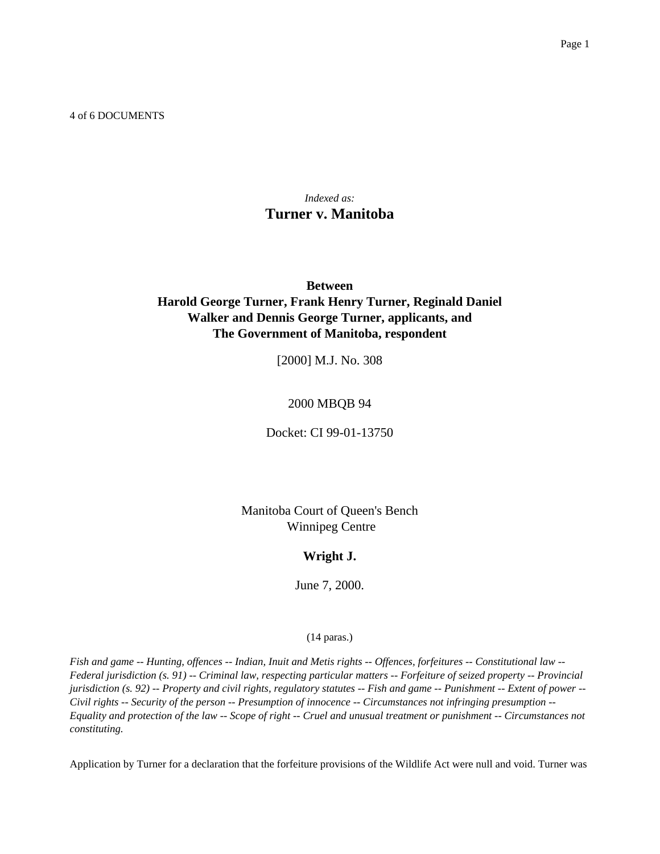4 of 6 DOCUMENTS

# *Indexed as:* **Turner v. Manitoba**

# **Between Harold George Turner, Frank Henry Turner, Reginald Daniel Walker and Dennis George Turner, applicants, and The Government of Manitoba, respondent**

[2000] M.J. No. 308

# 2000 MBQB 94

Docket: CI 99-01-13750

Manitoba Court of Queen's Bench Winnipeg Centre

# **Wright J.**

June 7, 2000.

# (14 paras.)

*Fish and game -- Hunting, offences -- Indian, Inuit and Metis rights -- Offences, forfeitures -- Constitutional law -- Federal jurisdiction (s. 91) -- Criminal law, respecting particular matters -- Forfeiture of seized property -- Provincial jurisdiction (s. 92) -- Property and civil rights, regulatory statutes -- Fish and game -- Punishment -- Extent of power -- Civil rights -- Security of the person -- Presumption of innocence -- Circumstances not infringing presumption -- Equality and protection of the law -- Scope of right -- Cruel and unusual treatment or punishment -- Circumstances not constituting.*

Application by Turner for a declaration that the forfeiture provisions of the Wildlife Act were null and void. Turner was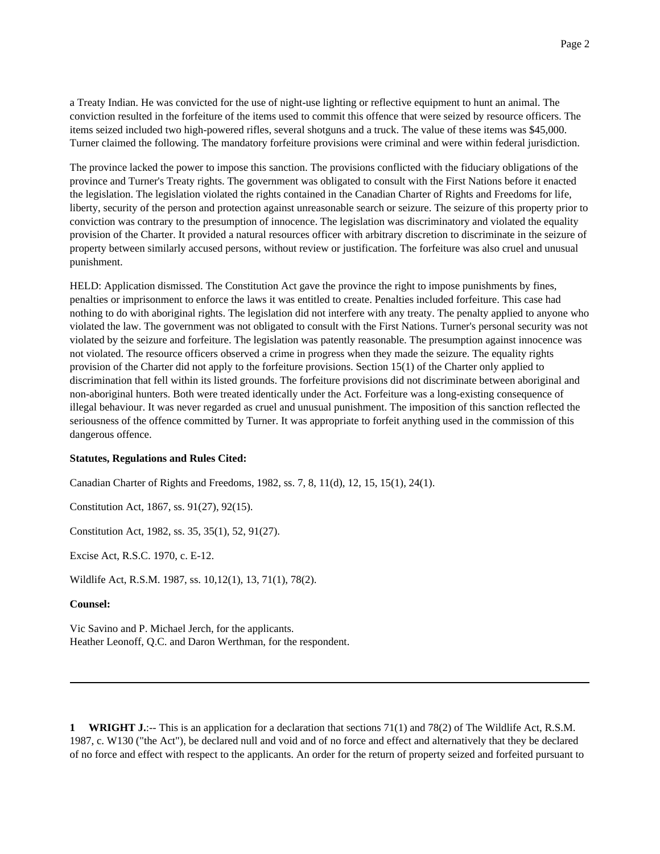a Treaty Indian. He was convicted for the use of night-use lighting or reflective equipment to hunt an animal. The conviction resulted in the forfeiture of the items used to commit this offence that were seized by resource officers. The items seized included two high-powered rifles, several shotguns and a truck. The value of these items was \$45,000. Turner claimed the following. The mandatory forfeiture provisions were criminal and were within federal jurisdiction.

The province lacked the power to impose this sanction. The provisions conflicted with the fiduciary obligations of the province and Turner's Treaty rights. The government was obligated to consult with the First Nations before it enacted the legislation. The legislation violated the rights contained in the Canadian Charter of Rights and Freedoms for life, liberty, security of the person and protection against unreasonable search or seizure. The seizure of this property prior to conviction was contrary to the presumption of innocence. The legislation was discriminatory and violated the equality provision of the Charter. It provided a natural resources officer with arbitrary discretion to discriminate in the seizure of property between similarly accused persons, without review or justification. The forfeiture was also cruel and unusual punishment.

HELD: Application dismissed. The Constitution Act gave the province the right to impose punishments by fines, penalties or imprisonment to enforce the laws it was entitled to create. Penalties included forfeiture. This case had nothing to do with aboriginal rights. The legislation did not interfere with any treaty. The penalty applied to anyone who violated the law. The government was not obligated to consult with the First Nations. Turner's personal security was not violated by the seizure and forfeiture. The legislation was patently reasonable. The presumption against innocence was not violated. The resource officers observed a crime in progress when they made the seizure. The equality rights provision of the Charter did not apply to the forfeiture provisions. Section 15(1) of the Charter only applied to discrimination that fell within its listed grounds. The forfeiture provisions did not discriminate between aboriginal and non-aboriginal hunters. Both were treated identically under the Act. Forfeiture was a long-existing consequence of illegal behaviour. It was never regarded as cruel and unusual punishment. The imposition of this sanction reflected the seriousness of the offence committed by Turner. It was appropriate to forfeit anything used in the commission of this dangerous offence.

### **Statutes, Regulations and Rules Cited:**

Canadian Charter of Rights and Freedoms, 1982, ss. 7, 8, 11(d), 12, 15, 15(1), 24(1).

Constitution Act, 1867, ss. 91(27), 92(15).

Constitution Act, 1982, ss. 35, 35(1), 52, 91(27).

Excise Act, R.S.C. 1970, c. E-12.

Wildlife Act, R.S.M. 1987, ss. 10,12(1), 13, 71(1), 78(2).

# **Counsel:**

Vic Savino and P. Michael Jerch, for the applicants. Heather Leonoff, Q.C. and Daron Werthman, for the respondent.

**1 WRIGHT J.:**-- This is an application for a declaration that sections 71(1) and 78(2) of The Wildlife Act, R.S.M. 1987, c. W130 ("the Act"), be declared null and void and of no force and effect and alternatively that they be declared of no force and effect with respect to the applicants. An order for the return of property seized and forfeited pursuant to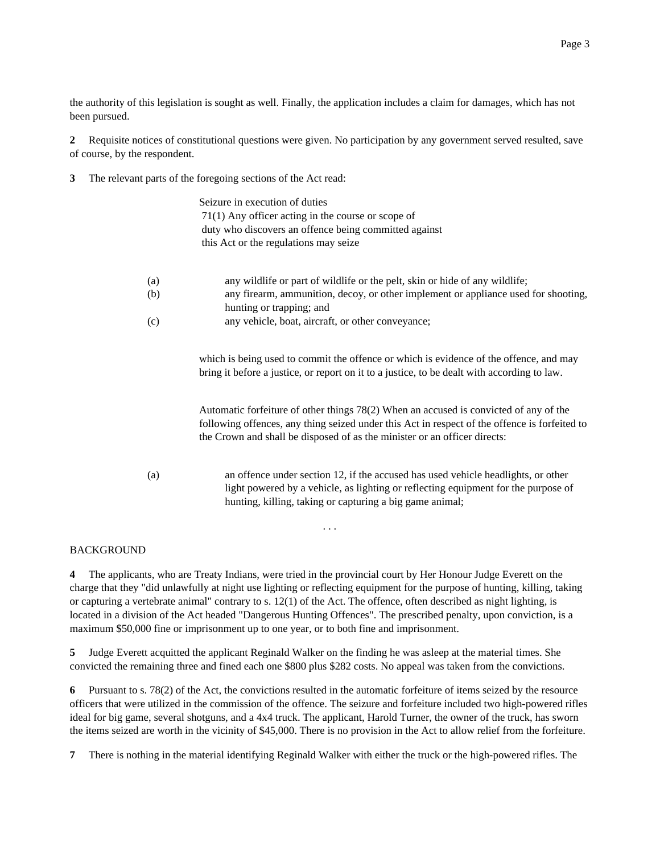the authority of this legislation is sought as well. Finally, the application includes a claim for damages, which has not been pursued.

**2** Requisite notices of constitutional questions were given. No participation by any government served resulted, save of course, by the respondent.

**3** The relevant parts of the foregoing sections of the Act read:

|     | Seizure in execution of duties                                                                                                                                                                                                                                      |
|-----|---------------------------------------------------------------------------------------------------------------------------------------------------------------------------------------------------------------------------------------------------------------------|
|     | $71(1)$ Any officer acting in the course or scope of                                                                                                                                                                                                                |
|     | duty who discovers an offence being committed against                                                                                                                                                                                                               |
|     | this Act or the regulations may seize                                                                                                                                                                                                                               |
| (a) | any wildlife or part of wildlife or the pelt, skin or hide of any wildlife;                                                                                                                                                                                         |
| (b) | any firearm, ammunition, decoy, or other implement or appliance used for shooting,<br>hunting or trapping; and                                                                                                                                                      |
| (c) | any vehicle, boat, aircraft, or other conveyance;                                                                                                                                                                                                                   |
|     | which is being used to commit the offence or which is evidence of the offence, and may<br>bring it before a justice, or report on it to a justice, to be dealt with according to law.                                                                               |
|     | Automatic forfeiture of other things 78(2) When an accused is convicted of any of the<br>following offences, any thing seized under this Act in respect of the offence is forfeited to<br>the Crown and shall be disposed of as the minister or an officer directs: |
| (a) | an offence under section 12, if the accused has used vehicle headlights, or other<br>light powered by a vehicle, as lighting or reflecting equipment for the purpose of<br>hunting, killing, taking or capturing a big game animal;                                 |

# BACKGROUND

**4** The applicants, who are Treaty Indians, were tried in the provincial court by Her Honour Judge Everett on the charge that they "did unlawfully at night use lighting or reflecting equipment for the purpose of hunting, killing, taking or capturing a vertebrate animal" contrary to s. 12(1) of the Act. The offence, often described as night lighting, is located in a division of the Act headed "Dangerous Hunting Offences". The prescribed penalty, upon conviction, is a maximum \$50,000 fine or imprisonment up to one year, or to both fine and imprisonment.

. . .

**5** Judge Everett acquitted the applicant Reginald Walker on the finding he was asleep at the material times. She convicted the remaining three and fined each one \$800 plus \$282 costs. No appeal was taken from the convictions.

**6** Pursuant to s. 78(2) of the Act, the convictions resulted in the automatic forfeiture of items seized by the resource officers that were utilized in the commission of the offence. The seizure and forfeiture included two high-powered rifles ideal for big game, several shotguns, and a 4x4 truck. The applicant, Harold Turner, the owner of the truck, has sworn the items seized are worth in the vicinity of \$45,000. There is no provision in the Act to allow relief from the forfeiture.

**7** There is nothing in the material identifying Reginald Walker with either the truck or the high-powered rifles. The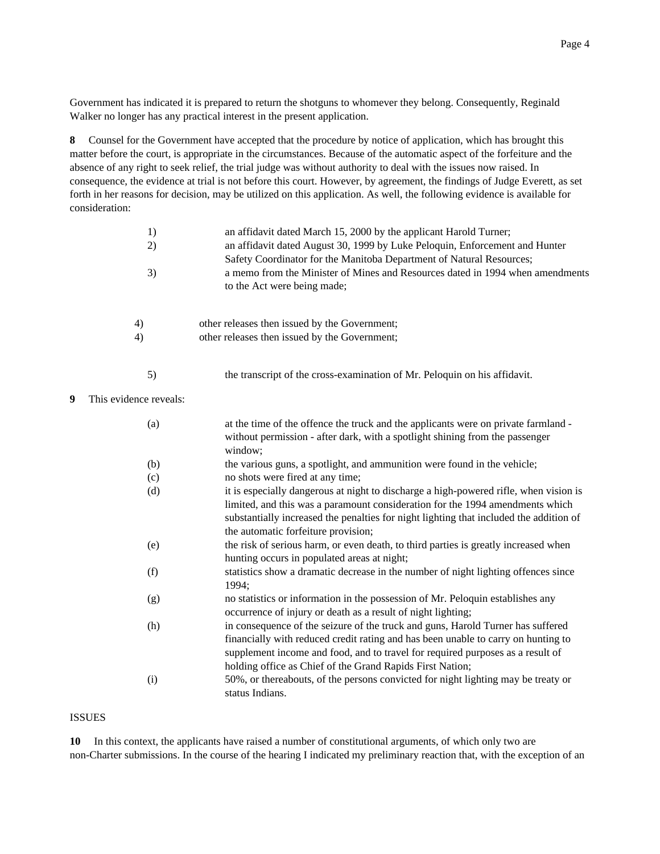Government has indicated it is prepared to return the shotguns to whomever they belong. Consequently, Reginald Walker no longer has any practical interest in the present application.

**8** Counsel for the Government have accepted that the procedure by notice of application, which has brought this matter before the court, is appropriate in the circumstances. Because of the automatic aspect of the forfeiture and the absence of any right to seek relief, the trial judge was without authority to deal with the issues now raised. In consequence, the evidence at trial is not before this court. However, by agreement, the findings of Judge Everett, as set forth in her reasons for decision, may be utilized on this application. As well, the following evidence is available for consideration:

|   | 1)<br>2)<br>3)         | an affidavit dated March 15, 2000 by the applicant Harold Turner;<br>an affidavit dated August 30, 1999 by Luke Peloquin, Enforcement and Hunter<br>Safety Coordinator for the Manitoba Department of Natural Resources;<br>a memo from the Minister of Mines and Resources dated in 1994 when amendments<br>to the Act were being made; |
|---|------------------------|------------------------------------------------------------------------------------------------------------------------------------------------------------------------------------------------------------------------------------------------------------------------------------------------------------------------------------------|
|   | 4)                     | other releases then issued by the Government;                                                                                                                                                                                                                                                                                            |
|   | 4)                     | other releases then issued by the Government;                                                                                                                                                                                                                                                                                            |
|   | 5)                     | the transcript of the cross-examination of Mr. Peloquin on his affidavit.                                                                                                                                                                                                                                                                |
| 9 | This evidence reveals: |                                                                                                                                                                                                                                                                                                                                          |
|   | (a)                    | at the time of the offence the truck and the applicants were on private farmland -<br>without permission - after dark, with a spotlight shining from the passenger<br>window;                                                                                                                                                            |
|   | (b)                    | the various guns, a spotlight, and ammunition were found in the vehicle;                                                                                                                                                                                                                                                                 |
|   | (c)                    | no shots were fired at any time;                                                                                                                                                                                                                                                                                                         |
|   | (d)                    | it is especially dangerous at night to discharge a high-powered rifle, when vision is<br>limited, and this was a paramount consideration for the 1994 amendments which<br>substantially increased the penalties for night lighting that included the addition of<br>the automatic forfeiture provision;                                  |
|   | (e)                    | the risk of serious harm, or even death, to third parties is greatly increased when<br>hunting occurs in populated areas at night;                                                                                                                                                                                                       |
|   | (f)                    | statistics show a dramatic decrease in the number of night lighting offences since<br>1994;                                                                                                                                                                                                                                              |
|   | (g)                    | no statistics or information in the possession of Mr. Peloquin establishes any<br>occurrence of injury or death as a result of night lighting;                                                                                                                                                                                           |
|   | (h)                    | in consequence of the seizure of the truck and guns, Harold Turner has suffered<br>financially with reduced credit rating and has been unable to carry on hunting to<br>supplement income and food, and to travel for required purposes as a result of<br>holding office as Chief of the Grand Rapids First Nation;                      |
|   | (i)                    | 50%, or thereabouts, of the persons convicted for night lighting may be treaty or<br>status Indians.                                                                                                                                                                                                                                     |

# ISSUES

**10** In this context, the applicants have raised a number of constitutional arguments, of which only two are non-Charter submissions. In the course of the hearing I indicated my preliminary reaction that, with the exception of an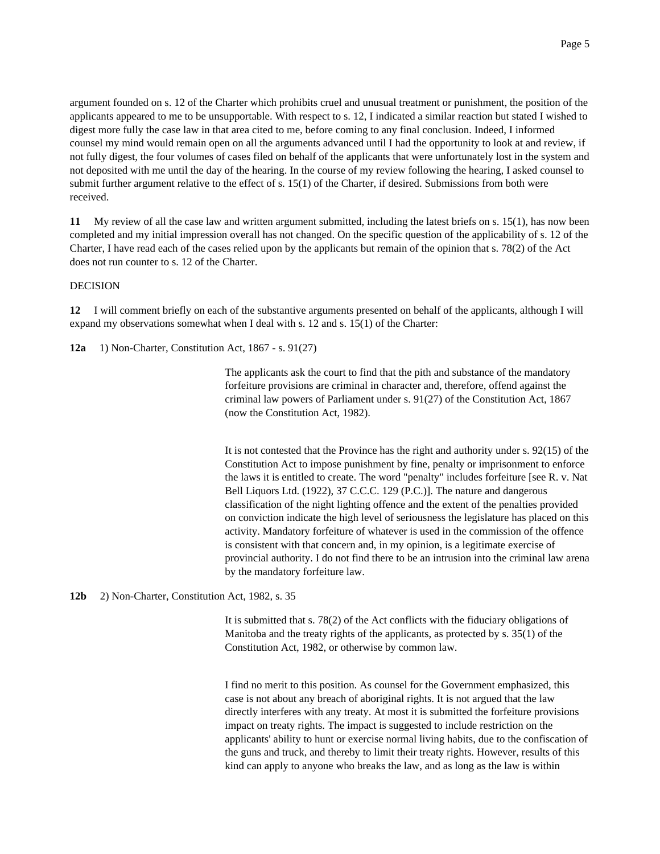argument founded on s. 12 of the Charter which prohibits cruel and unusual treatment or punishment, the position of the applicants appeared to me to be unsupportable. With respect to s. 12, I indicated a similar reaction but stated I wished to digest more fully the case law in that area cited to me, before coming to any final conclusion. Indeed, I informed counsel my mind would remain open on all the arguments advanced until I had the opportunity to look at and review, if not fully digest, the four volumes of cases filed on behalf of the applicants that were unfortunately lost in the system and not deposited with me until the day of the hearing. In the course of my review following the hearing, I asked counsel to submit further argument relative to the effect of s. 15(1) of the Charter, if desired. Submissions from both were received.

**11** My review of all the case law and written argument submitted, including the latest briefs on s. 15(1), has now been completed and my initial impression overall has not changed. On the specific question of the applicability of s. 12 of the Charter, I have read each of the cases relied upon by the applicants but remain of the opinion that s. 78(2) of the Act does not run counter to s. 12 of the Charter.

## DECISION

**12** I will comment briefly on each of the substantive arguments presented on behalf of the applicants, although I will expand my observations somewhat when I deal with s. 12 and s. 15(1) of the Charter:

**12a** 1) Non-Charter, Constitution Act, 1867 - s. 91(27)

The applicants ask the court to find that the pith and substance of the mandatory forfeiture provisions are criminal in character and, therefore, offend against the criminal law powers of Parliament under s. 91(27) of the Constitution Act, 1867 (now the Constitution Act, 1982).

It is not contested that the Province has the right and authority under s. 92(15) of the Constitution Act to impose punishment by fine, penalty or imprisonment to enforce the laws it is entitled to create. The word "penalty" includes forfeiture [see R. v. Nat Bell Liquors Ltd. (1922), 37 C.C.C. 129 (P.C.)]. The nature and dangerous classification of the night lighting offence and the extent of the penalties provided on conviction indicate the high level of seriousness the legislature has placed on this activity. Mandatory forfeiture of whatever is used in the commission of the offence is consistent with that concern and, in my opinion, is a legitimate exercise of provincial authority. I do not find there to be an intrusion into the criminal law arena by the mandatory forfeiture law.

**12b** 2) Non-Charter, Constitution Act, 1982, s. 35

It is submitted that s. 78(2) of the Act conflicts with the fiduciary obligations of Manitoba and the treaty rights of the applicants, as protected by s. 35(1) of the Constitution Act, 1982, or otherwise by common law.

I find no merit to this position. As counsel for the Government emphasized, this case is not about any breach of aboriginal rights. It is not argued that the law directly interferes with any treaty. At most it is submitted the forfeiture provisions impact on treaty rights. The impact is suggested to include restriction on the applicants' ability to hunt or exercise normal living habits, due to the confiscation of the guns and truck, and thereby to limit their treaty rights. However, results of this kind can apply to anyone who breaks the law, and as long as the law is within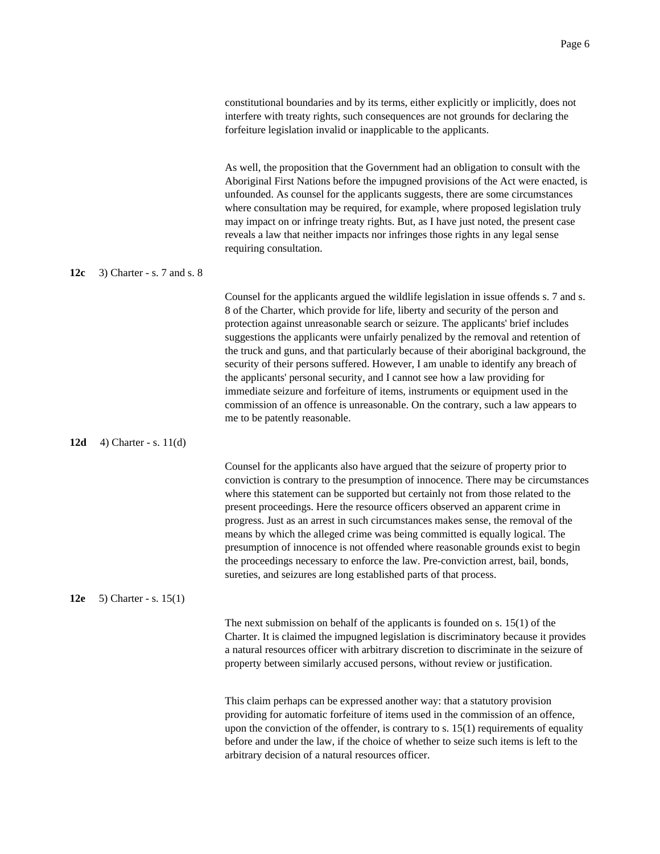|     |                            | constitutional boundaries and by its terms, either explicitly or implicitly, does not<br>interfere with treaty rights, such consequences are not grounds for declaring the<br>forfeiture legislation invalid or inapplicable to the applicants.                                                                                                                                                                                                                                                                                                          |
|-----|----------------------------|----------------------------------------------------------------------------------------------------------------------------------------------------------------------------------------------------------------------------------------------------------------------------------------------------------------------------------------------------------------------------------------------------------------------------------------------------------------------------------------------------------------------------------------------------------|
|     |                            | As well, the proposition that the Government had an obligation to consult with the<br>Aboriginal First Nations before the impugned provisions of the Act were enacted, is<br>unfounded. As counsel for the applicants suggests, there are some circumstances<br>where consultation may be required, for example, where proposed legislation truly<br>may impact on or infringe treaty rights. But, as I have just noted, the present case<br>reveals a law that neither impacts nor infringes those rights in any legal sense<br>requiring consultation. |
| 12c | 3) Charter - s. 7 and s. 8 |                                                                                                                                                                                                                                                                                                                                                                                                                                                                                                                                                          |
|     |                            | Counsel for the applicants argued the wildlife legislation in issue offends s. 7 and s.<br>8 of the Charter, which provide for life, liberty and security of the person and<br>protection against unreasonable search or seizure. The applicants' brief includes<br>suggestions the applicants were unfairly penalized by the removal and retention of<br>the truck and guns, and that particularly because of their aboriginal background, the<br>security of their persons suffered. However, I am unable to identify any breach of                    |

### **12d** 4) Charter - s. 11(d)

Counsel for the applicants also have argued that the seizure of property prior to conviction is contrary to the presumption of innocence. There may be circumstances where this statement can be supported but certainly not from those related to the present proceedings. Here the resource officers observed an apparent crime in progress. Just as an arrest in such circumstances makes sense, the removal of the means by which the alleged crime was being committed is equally logical. The presumption of innocence is not offended where reasonable grounds exist to begin the proceedings necessary to enforce the law. Pre-conviction arrest, bail, bonds, sureties, and seizures are long established parts of that process.

the applicants' personal security, and I cannot see how a law providing for immediate seizure and forfeiture of items, instruments or equipment used in the commission of an offence is unreasonable. On the contrary, such a law appears to

me to be patently reasonable.

# **12e** 5) Charter - s. 15(1)

The next submission on behalf of the applicants is founded on s. 15(1) of the Charter. It is claimed the impugned legislation is discriminatory because it provides a natural resources officer with arbitrary discretion to discriminate in the seizure of property between similarly accused persons, without review or justification.

This claim perhaps can be expressed another way: that a statutory provision providing for automatic forfeiture of items used in the commission of an offence, upon the conviction of the offender, is contrary to s.  $15(1)$  requirements of equality before and under the law, if the choice of whether to seize such items is left to the arbitrary decision of a natural resources officer.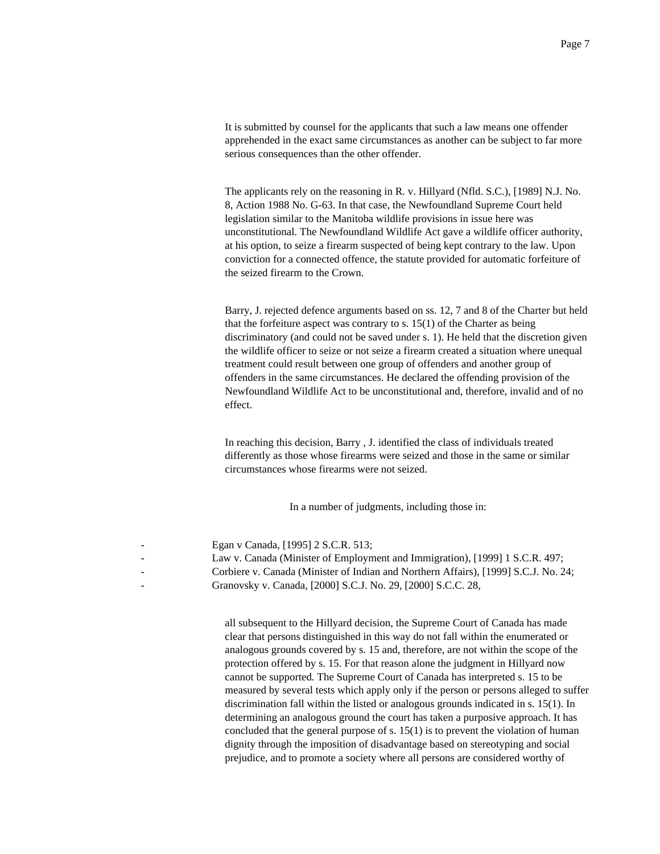It is submitted by counsel for the applicants that such a law means one offender apprehended in the exact same circumstances as another can be subject to far more serious consequences than the other offender.

The applicants rely on the reasoning in R. v. Hillyard (Nfld. S.C.), [1989] N.J. No. 8, Action 1988 No. G-63. In that case, the Newfoundland Supreme Court held legislation similar to the Manitoba wildlife provisions in issue here was unconstitutional. The Newfoundland Wildlife Act gave a wildlife officer authority, at his option, to seize a firearm suspected of being kept contrary to the law. Upon conviction for a connected offence, the statute provided for automatic forfeiture of the seized firearm to the Crown.

Barry, J. rejected defence arguments based on ss. 12, 7 and 8 of the Charter but held that the forfeiture aspect was contrary to s.  $15(1)$  of the Charter as being discriminatory (and could not be saved under s. 1). He held that the discretion given the wildlife officer to seize or not seize a firearm created a situation where unequal treatment could result between one group of offenders and another group of offenders in the same circumstances. He declared the offending provision of the Newfoundland Wildlife Act to be unconstitutional and, therefore, invalid and of no effect.

In reaching this decision, Barry , J. identified the class of individuals treated differently as those whose firearms were seized and those in the same or similar circumstances whose firearms were not seized.

In a number of judgments, including those in:

| - | Egan v Canada, [1995] 2 S.C.R. 513;                                                 |
|---|-------------------------------------------------------------------------------------|
|   | Law v. Canada (Minister of Employment and Immigration), [1999] 1 S.C.R. 497;        |
|   | Corbiere v. Canada (Minister of Indian and Northern Affairs), [1999] S.C.J. No. 24; |
|   | Granovsky v. Canada, [2000] S.C.J. No. 29, [2000] S.C.C. 28,                        |

all subsequent to the Hillyard decision, the Supreme Court of Canada has made clear that persons distinguished in this way do not fall within the enumerated or analogous grounds covered by s. 15 and, therefore, are not within the scope of the protection offered by s. 15. For that reason alone the judgment in Hillyard now cannot be supported. The Supreme Court of Canada has interpreted s. 15 to be measured by several tests which apply only if the person or persons alleged to suffer discrimination fall within the listed or analogous grounds indicated in s. 15(1). In determining an analogous ground the court has taken a purposive approach. It has concluded that the general purpose of s. 15(1) is to prevent the violation of human dignity through the imposition of disadvantage based on stereotyping and social prejudice, and to promote a society where all persons are considered worthy of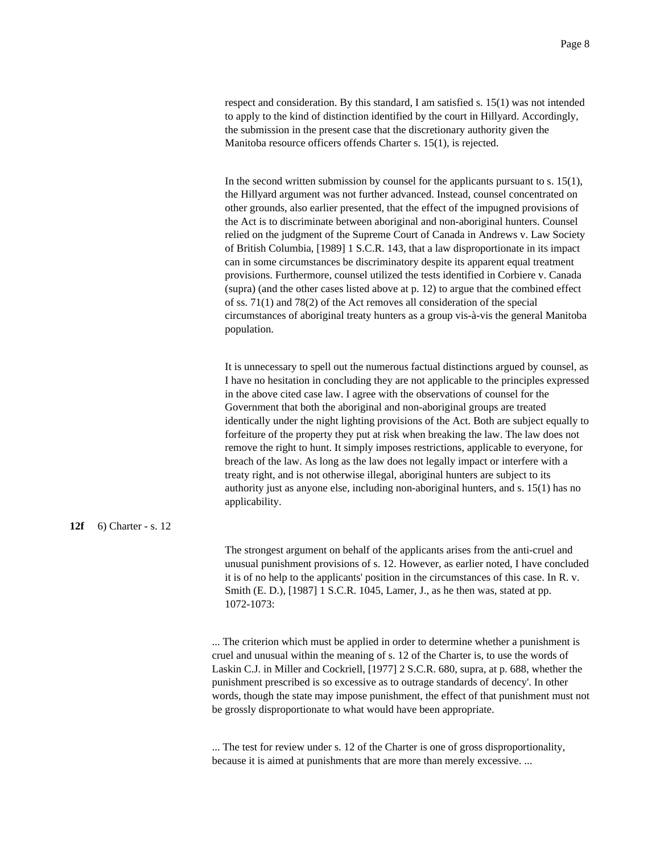respect and consideration. By this standard, I am satisfied s. 15(1) was not intended to apply to the kind of distinction identified by the court in Hillyard. Accordingly, the submission in the present case that the discretionary authority given the Manitoba resource officers offends Charter s. 15(1), is rejected.

In the second written submission by counsel for the applicants pursuant to s.  $15(1)$ , the Hillyard argument was not further advanced. Instead, counsel concentrated on other grounds, also earlier presented, that the effect of the impugned provisions of the Act is to discriminate between aboriginal and non-aboriginal hunters. Counsel relied on the judgment of the Supreme Court of Canada in Andrews v. Law Society of British Columbia, [1989] 1 S.C.R. 143, that a law disproportionate in its impact can in some circumstances be discriminatory despite its apparent equal treatment provisions. Furthermore, counsel utilized the tests identified in Corbiere v. Canada (supra) (and the other cases listed above at p. 12) to argue that the combined effect of ss. 71(1) and 78(2) of the Act removes all consideration of the special circumstances of aboriginal treaty hunters as a group vis-à-vis the general Manitoba population.

It is unnecessary to spell out the numerous factual distinctions argued by counsel, as I have no hesitation in concluding they are not applicable to the principles expressed in the above cited case law. I agree with the observations of counsel for the Government that both the aboriginal and non-aboriginal groups are treated identically under the night lighting provisions of the Act. Both are subject equally to forfeiture of the property they put at risk when breaking the law. The law does not remove the right to hunt. It simply imposes restrictions, applicable to everyone, for breach of the law. As long as the law does not legally impact or interfere with a treaty right, and is not otherwise illegal, aboriginal hunters are subject to its authority just as anyone else, including non-aboriginal hunters, and s. 15(1) has no applicability.

#### **12f** 6) Charter - s. 12

The strongest argument on behalf of the applicants arises from the anti-cruel and unusual punishment provisions of s. 12. However, as earlier noted, I have concluded it is of no help to the applicants' position in the circumstances of this case. In R. v. Smith (E. D.), [1987] 1 S.C.R. 1045, Lamer, J., as he then was, stated at pp. 1072-1073:

... The criterion which must be applied in order to determine whether a punishment is cruel and unusual within the meaning of s. 12 of the Charter is, to use the words of Laskin C.J. in Miller and Cockriell, [1977] 2 S.C.R. 680, supra, at p. 688, whether the punishment prescribed is so excessive as to outrage standards of decency'. In other words, though the state may impose punishment, the effect of that punishment must not be grossly disproportionate to what would have been appropriate.

... The test for review under s. 12 of the Charter is one of gross disproportionality, because it is aimed at punishments that are more than merely excessive. ...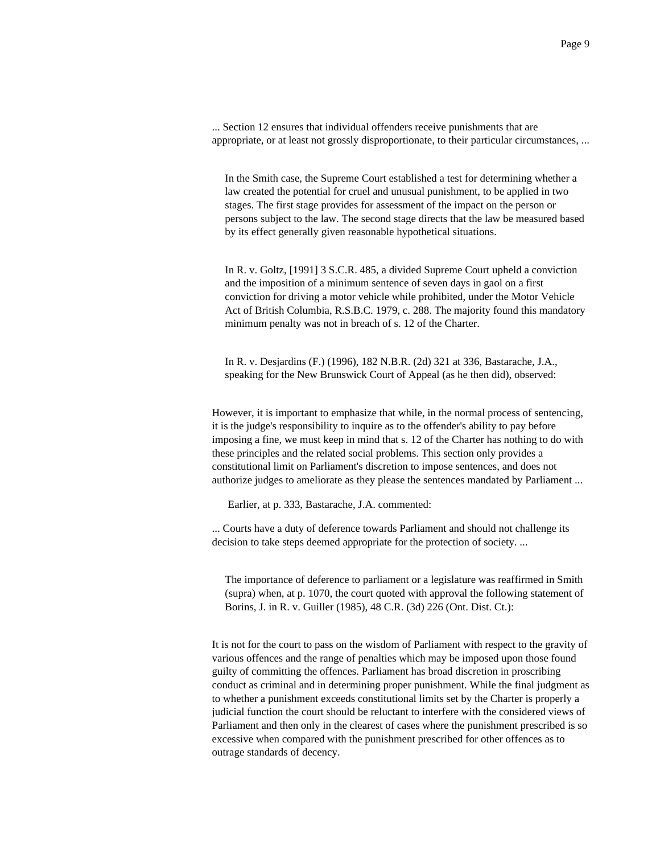... Section 12 ensures that individual offenders receive punishments that are appropriate, or at least not grossly disproportionate, to their particular circumstances, ...

In the Smith case, the Supreme Court established a test for determining whether a law created the potential for cruel and unusual punishment, to be applied in two stages. The first stage provides for assessment of the impact on the person or persons subject to the law. The second stage directs that the law be measured based by its effect generally given reasonable hypothetical situations.

In R. v. Goltz, [1991] 3 S.C.R. 485, a divided Supreme Court upheld a conviction and the imposition of a minimum sentence of seven days in gaol on a first conviction for driving a motor vehicle while prohibited, under the Motor Vehicle Act of British Columbia, R.S.B.C. 1979, c. 288. The majority found this mandatory minimum penalty was not in breach of s. 12 of the Charter.

In R. v. Desjardins (F.) (1996), 182 N.B.R. (2d) 321 at 336, Bastarache, J.A., speaking for the New Brunswick Court of Appeal (as he then did), observed:

However, it is important to emphasize that while, in the normal process of sentencing, it is the judge's responsibility to inquire as to the offender's ability to pay before imposing a fine, we must keep in mind that s. 12 of the Charter has nothing to do with these principles and the related social problems. This section only provides a constitutional limit on Parliament's discretion to impose sentences, and does not authorize judges to ameliorate as they please the sentences mandated by Parliament ...

Earlier, at p. 333, Bastarache, J.A. commented:

... Courts have a duty of deference towards Parliament and should not challenge its decision to take steps deemed appropriate for the protection of society. ...

The importance of deference to parliament or a legislature was reaffirmed in Smith (supra) when, at p. 1070, the court quoted with approval the following statement of Borins, J. in R. v. Guiller (1985), 48 C.R. (3d) 226 (Ont. Dist. Ct.):

It is not for the court to pass on the wisdom of Parliament with respect to the gravity of various offences and the range of penalties which may be imposed upon those found guilty of committing the offences. Parliament has broad discretion in proscribing conduct as criminal and in determining proper punishment. While the final judgment as to whether a punishment exceeds constitutional limits set by the Charter is properly a judicial function the court should be reluctant to interfere with the considered views of Parliament and then only in the clearest of cases where the punishment prescribed is so excessive when compared with the punishment prescribed for other offences as to outrage standards of decency.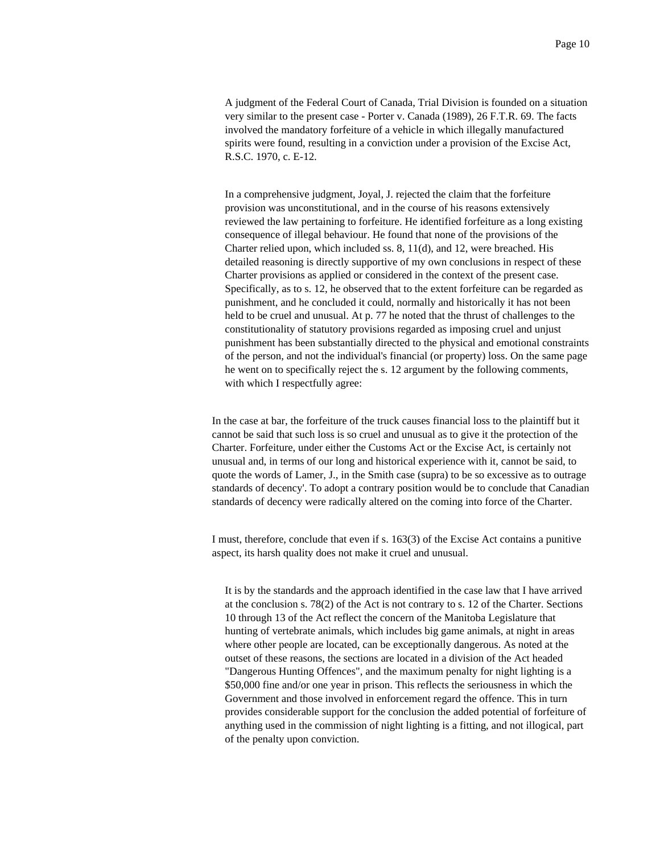A judgment of the Federal Court of Canada, Trial Division is founded on a situation very similar to the present case - Porter v. Canada (1989), 26 F.T.R. 69. The facts involved the mandatory forfeiture of a vehicle in which illegally manufactured spirits were found, resulting in a conviction under a provision of the Excise Act, R.S.C. 1970, c. E-12.

In a comprehensive judgment, Joyal, J. rejected the claim that the forfeiture provision was unconstitutional, and in the course of his reasons extensively reviewed the law pertaining to forfeiture. He identified forfeiture as a long existing consequence of illegal behaviour. He found that none of the provisions of the Charter relied upon, which included ss. 8, 11(d), and 12, were breached. His detailed reasoning is directly supportive of my own conclusions in respect of these Charter provisions as applied or considered in the context of the present case. Specifically, as to s. 12, he observed that to the extent forfeiture can be regarded as punishment, and he concluded it could, normally and historically it has not been held to be cruel and unusual. At p. 77 he noted that the thrust of challenges to the constitutionality of statutory provisions regarded as imposing cruel and unjust punishment has been substantially directed to the physical and emotional constraints of the person, and not the individual's financial (or property) loss. On the same page he went on to specifically reject the s. 12 argument by the following comments, with which I respectfully agree:

In the case at bar, the forfeiture of the truck causes financial loss to the plaintiff but it cannot be said that such loss is so cruel and unusual as to give it the protection of the Charter. Forfeiture, under either the Customs Act or the Excise Act, is certainly not unusual and, in terms of our long and historical experience with it, cannot be said, to quote the words of Lamer, J., in the Smith case (supra) to be so excessive as to outrage standards of decency'. To adopt a contrary position would be to conclude that Canadian standards of decency were radically altered on the coming into force of the Charter.

I must, therefore, conclude that even if s. 163(3) of the Excise Act contains a punitive aspect, its harsh quality does not make it cruel and unusual.

It is by the standards and the approach identified in the case law that I have arrived at the conclusion s. 78(2) of the Act is not contrary to s. 12 of the Charter. Sections 10 through 13 of the Act reflect the concern of the Manitoba Legislature that hunting of vertebrate animals, which includes big game animals, at night in areas where other people are located, can be exceptionally dangerous. As noted at the outset of these reasons, the sections are located in a division of the Act headed "Dangerous Hunting Offences", and the maximum penalty for night lighting is a \$50,000 fine and/or one year in prison. This reflects the seriousness in which the Government and those involved in enforcement regard the offence. This in turn provides considerable support for the conclusion the added potential of forfeiture of anything used in the commission of night lighting is a fitting, and not illogical, part of the penalty upon conviction.